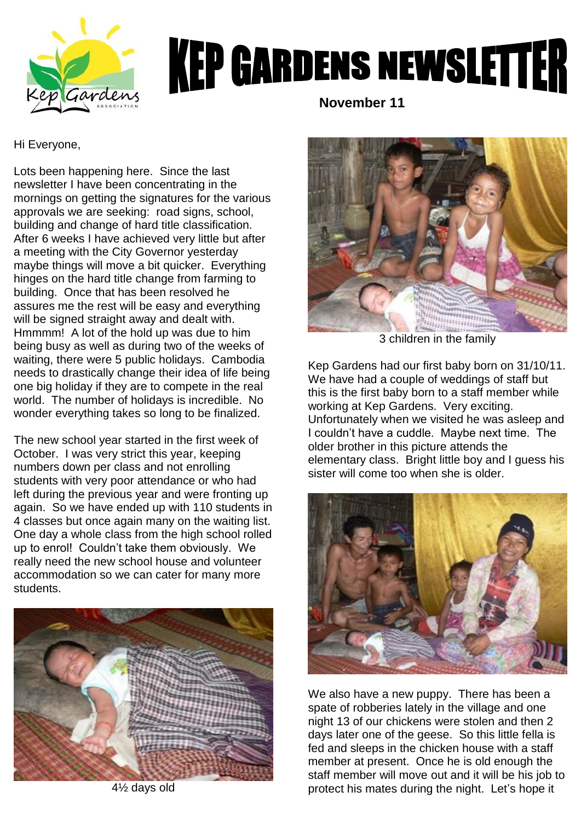

## **KEP GARDENS NEWSLETTER**

 **November 11**

Hi Everyone,

Lots been happening here. Since the last newsletter I have been concentrating in the mornings on getting the signatures for the various approvals we are seeking: road signs, school, building and change of hard title classification. After 6 weeks I have achieved very little but after a meeting with the City Governor yesterday maybe things will move a bit quicker. Everything hinges on the hard title change from farming to building. Once that has been resolved he assures me the rest will be easy and everything will be signed straight away and dealt with. Hmmmm! A lot of the hold up was due to him being busy as well as during two of the weeks of waiting, there were 5 public holidays. Cambodia needs to drastically change their idea of life being one big holiday if they are to compete in the real world. The number of holidays is incredible. No wonder everything takes so long to be finalized.

The new school year started in the first week of October. I was very strict this year, keeping numbers down per class and not enrolling students with very poor attendance or who had left during the previous year and were fronting up again. So we have ended up with 110 students in 4 classes but once again many on the waiting list. One day a whole class from the high school rolled up to enrol! Couldn"t take them obviously. We really need the new school house and volunteer accommodation so we can cater for many more students.



4½ days old



3 children in the family

Kep Gardens had our first baby born on 31/10/11. We have had a couple of weddings of staff but this is the first baby born to a staff member while working at Kep Gardens. Very exciting. Unfortunately when we visited he was asleep and I couldn"t have a cuddle. Maybe next time. The older brother in this picture attends the elementary class. Bright little boy and I guess his sister will come too when she is older.



We also have a new puppy. There has been a spate of robberies lately in the village and one night 13 of our chickens were stolen and then 2 days later one of the geese. So this little fella is fed and sleeps in the chicken house with a staff member at present. Once he is old enough the staff member will move out and it will be his job to protect his mates during the night. Let"s hope it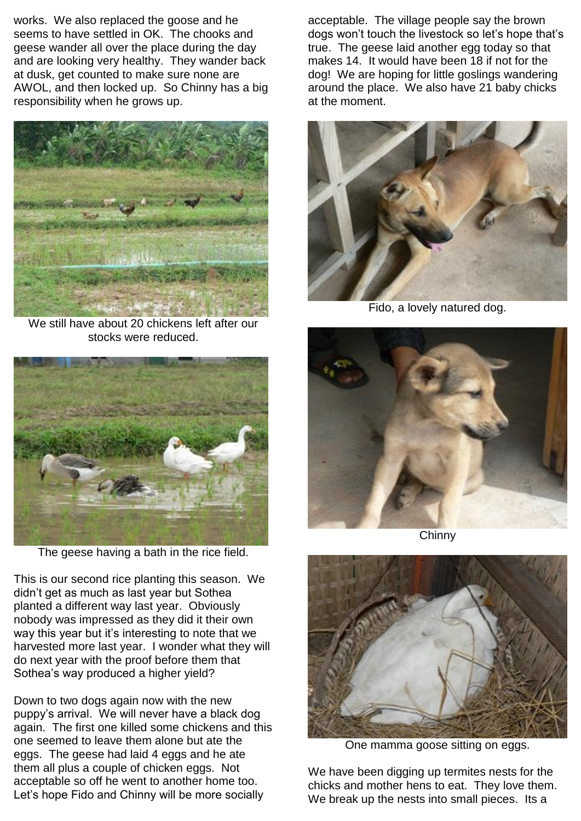works. We also replaced the goose and he seems to have settled in OK. The chooks and geese wander all over the place during the day and are looking very healthy. They wander back at dusk, get counted to make sure none are AWOL, and then locked up. So Chinny has a big responsibility when he grows up.



We still have about 20 chickens left after our stocks were reduced.



The geese having a bath in the rice field.

This is our second rice planting this season. We didn"t get as much as last year but Sothea planted a different way last year. Obviously nobody was impressed as they did it their own way this year but it's interesting to note that we harvested more last year. I wonder what they will do next year with the proof before them that Sothea's way produced a higher yield?

Down to two dogs again now with the new puppy"s arrival. We will never have a black dog again. The first one killed some chickens and this one seemed to leave them alone but ate the eggs. The geese had laid 4 eggs and he ate them all plus a couple of chicken eggs. Not acceptable so off he went to another home too. Let"s hope Fido and Chinny will be more socially

acceptable. The village people say the brown dogs won't touch the livestock so let's hope that's true. The geese laid another egg today so that makes 14. It would have been 18 if not for the dog! We are hoping for little goslings wandering around the place. We also have 21 baby chicks at the moment.



Fido, a lovely natured dog.



Chinny



One mamma goose sitting on eggs.

We have been digging up termites nests for the chicks and mother hens to eat. They love them. We break up the nests into small pieces. Its a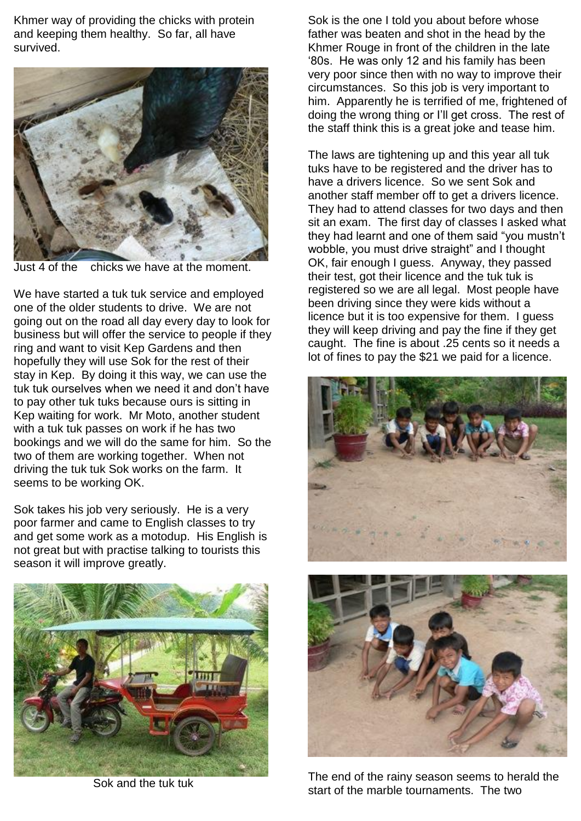Khmer way of providing the chicks with protein and keeping them healthy. So far, all have survived.



Just 4 of the chicks we have at the moment.

We have started a tuk tuk service and employed one of the older students to drive. We are not going out on the road all day every day to look for business but will offer the service to people if they ring and want to visit Kep Gardens and then hopefully they will use Sok for the rest of their stay in Kep. By doing it this way, we can use the tuk tuk ourselves when we need it and don"t have to pay other tuk tuks because ours is sitting in Kep waiting for work. Mr Moto, another student with a tuk tuk passes on work if he has two bookings and we will do the same for him. So the two of them are working together. When not driving the tuk tuk Sok works on the farm. It seems to be working OK.

Sok takes his job very seriously. He is a very poor farmer and came to English classes to try and get some work as a motodup. His English is not great but with practise talking to tourists this season it will improve greatly.



Sok and the tuk tuk

Sok is the one I told you about before whose father was beaten and shot in the head by the Khmer Rouge in front of the children in the late "80s. He was only 12 and his family has been very poor since then with no way to improve their circumstances. So this job is very important to him. Apparently he is terrified of me, frightened of doing the wrong thing or I"ll get cross. The rest of the staff think this is a great joke and tease him.

The laws are tightening up and this year all tuk tuks have to be registered and the driver has to have a drivers licence. So we sent Sok and another staff member off to get a drivers licence. They had to attend classes for two days and then sit an exam. The first day of classes I asked what they had learnt and one of them said "you mustn"t wobble, you must drive straight" and I thought OK, fair enough I guess. Anyway, they passed their test, got their licence and the tuk tuk is registered so we are all legal. Most people have been driving since they were kids without a licence but it is too expensive for them. I guess they will keep driving and pay the fine if they get caught. The fine is about .25 cents so it needs a lot of fines to pay the \$21 we paid for a licence.





The end of the rainy season seems to herald the start of the marble tournaments. The two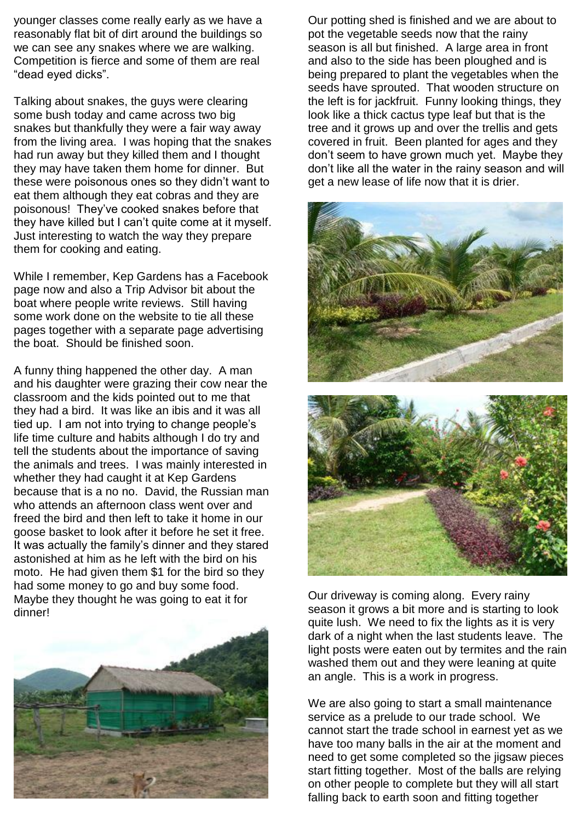younger classes come really early as we have a reasonably flat bit of dirt around the buildings so we can see any snakes where we are walking. Competition is fierce and some of them are real "dead eyed dicks".

Talking about snakes, the guys were clearing some bush today and came across two big snakes but thankfully they were a fair way away from the living area. I was hoping that the snakes had run away but they killed them and I thought they may have taken them home for dinner. But these were poisonous ones so they didn"t want to eat them although they eat cobras and they are poisonous! They"ve cooked snakes before that they have killed but I can"t quite come at it myself. Just interesting to watch the way they prepare them for cooking and eating.

While I remember, Kep Gardens has a Facebook page now and also a Trip Advisor bit about the boat where people write reviews. Still having some work done on the website to tie all these pages together with a separate page advertising the boat. Should be finished soon.

A funny thing happened the other day. A man and his daughter were grazing their cow near the classroom and the kids pointed out to me that they had a bird. It was like an ibis and it was all tied up. I am not into trying to change people"s life time culture and habits although I do try and tell the students about the importance of saving the animals and trees. I was mainly interested in whether they had caught it at Kep Gardens because that is a no no. David, the Russian man who attends an afternoon class went over and freed the bird and then left to take it home in our goose basket to look after it before he set it free. It was actually the family"s dinner and they stared astonished at him as he left with the bird on his moto. He had given them \$1 for the bird so they had some money to go and buy some food. Maybe they thought he was going to eat it for dinner!



Our potting shed is finished and we are about to pot the vegetable seeds now that the rainy season is all but finished. A large area in front and also to the side has been ploughed and is being prepared to plant the vegetables when the seeds have sprouted. That wooden structure on the left is for jackfruit. Funny looking things, they look like a thick cactus type leaf but that is the tree and it grows up and over the trellis and gets covered in fruit. Been planted for ages and they don"t seem to have grown much yet. Maybe they don"t like all the water in the rainy season and will get a new lease of life now that it is drier.



Our driveway is coming along. Every rainy season it grows a bit more and is starting to look quite lush. We need to fix the lights as it is very dark of a night when the last students leave. The light posts were eaten out by termites and the rain washed them out and they were leaning at quite an angle. This is a work in progress.

We are also going to start a small maintenance service as a prelude to our trade school. We cannot start the trade school in earnest yet as we have too many balls in the air at the moment and need to get some completed so the jigsaw pieces start fitting together. Most of the balls are relying on other people to complete but they will all start falling back to earth soon and fitting together